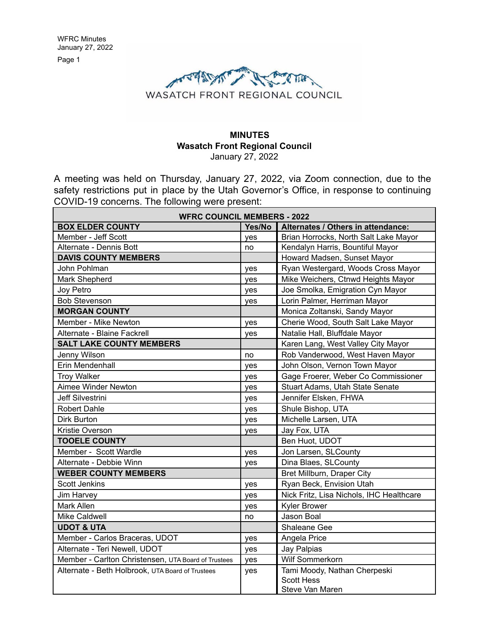

### **MINUTES Wasatch Front Regional Council** January 27, 2022

A meeting was held on Thursday, January 27, 2022, via Zoom connection, due to the safety restrictions put in place by the Utah Governor's Office, in response to continuing COVID-19 concerns. The following were present:

| <b>WFRC COUNCIL MEMBERS - 2022</b>                  |        |                                          |
|-----------------------------------------------------|--------|------------------------------------------|
| <b>BOX ELDER COUNTY</b>                             | Yes/No | Alternates / Others in attendance:       |
| Member - Jeff Scott                                 | ves    | Brian Horrocks, North Salt Lake Mayor    |
| Alternate - Dennis Bott                             | no     | Kendalyn Harris, Bountiful Mayor         |
| <b>DAVIS COUNTY MEMBERS</b>                         |        | Howard Madsen, Sunset Mayor              |
| John Pohlman                                        | yes    | Ryan Westergard, Woods Cross Mayor       |
| Mark Shepherd                                       | yes    | Mike Weichers, Ctnwd Heights Mayor       |
| Joy Petro                                           | yes    | Joe Smolka, Emigration Cyn Mayor         |
| <b>Bob Stevenson</b>                                | yes    | Lorin Palmer, Herriman Mayor             |
| <b>MORGAN COUNTY</b>                                |        | Monica Zoltanski, Sandy Mayor            |
| Member - Mike Newton                                | yes    | Cherie Wood, South Salt Lake Mayor       |
| Alternate - Blaine Fackrell                         | yes    | Natalie Hall, Bluffdale Mayor            |
| <b>SALT LAKE COUNTY MEMBERS</b>                     |        | Karen Lang, West Valley City Mayor       |
| Jenny Wilson                                        | no     | Rob Vanderwood, West Haven Mayor         |
| Erin Mendenhall                                     | yes    | John Olson, Vernon Town Mayor            |
| <b>Troy Walker</b>                                  | yes    | Gage Froerer, Weber Co Commissioner      |
| Aimee Winder Newton                                 | yes    | Stuart Adams, Utah State Senate          |
| <b>Jeff Silvestrini</b>                             | yes    | Jennifer Elsken, FHWA                    |
| <b>Robert Dahle</b>                                 | yes    | Shule Bishop, UTA                        |
| Dirk Burton                                         | yes    | Michelle Larsen, UTA                     |
| Kristie Overson                                     | yes    | Jay Fox, UTA                             |
| <b>TOOELE COUNTY</b>                                |        | Ben Huot, UDOT                           |
| Member - Scott Wardle                               | yes    | Jon Larsen, SLCounty                     |
| Alternate - Debbie Winn                             | yes    | Dina Blaes, SLCounty                     |
| <b>WEBER COUNTY MEMBERS</b>                         |        | Bret Millburn, Draper City               |
| <b>Scott Jenkins</b>                                | yes    | Ryan Beck, Envision Utah                 |
| Jim Harvey                                          | yes    | Nick Fritz, Lisa Nichols, IHC Healthcare |
| <b>Mark Allen</b>                                   | yes    | <b>Kyler Brower</b>                      |
| Mike Caldwell                                       | no     | Jason Boal                               |
| <b>UDOT &amp; UTA</b>                               |        | Shaleane Gee                             |
| Member - Carlos Braceras, UDOT                      | yes    | Angela Price                             |
| Alternate - Teri Newell, UDOT                       | yes    | Jay Palpias                              |
| Member - Carlton Christensen, UTA Board of Trustees | yes    | Wilf Sommerkorn                          |
| Alternate - Beth Holbrook, UTA Board of Trustees    | yes    | Tami Moody, Nathan Cherpeski             |
|                                                     |        | <b>Scott Hess</b>                        |
|                                                     |        | Steve Van Maren                          |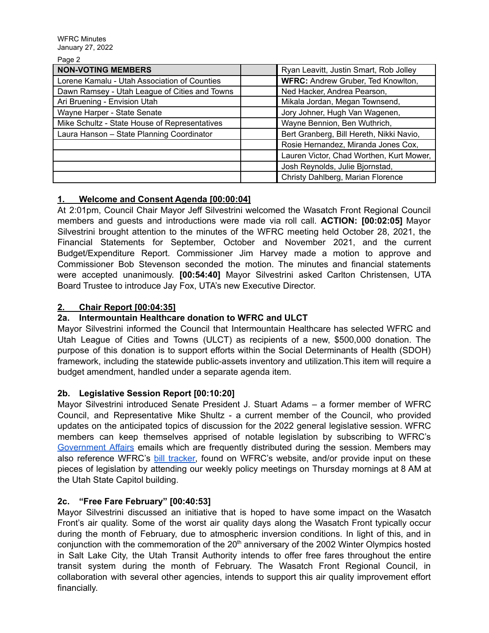| $ -$                                          |                                          |
|-----------------------------------------------|------------------------------------------|
| <b>NON-VOTING MEMBERS</b>                     | Ryan Leavitt, Justin Smart, Rob Jolley   |
| Lorene Kamalu - Utah Association of Counties  | WFRC: Andrew Gruber, Ted Knowlton,       |
| Dawn Ramsey - Utah League of Cities and Towns | Ned Hacker, Andrea Pearson,              |
| Ari Bruening - Envision Utah                  | Mikala Jordan, Megan Townsend,           |
| Wayne Harper - State Senate                   | Jory Johner, Hugh Van Wagenen,           |
| Mike Schultz - State House of Representatives | Wayne Bennion, Ben Wuthrich,             |
| Laura Hanson - State Planning Coordinator     | Bert Granberg, Bill Hereth, Nikki Navio, |
|                                               | Rosie Hernandez, Miranda Jones Cox,      |
|                                               | Lauren Victor, Chad Worthen, Kurt Mower, |
|                                               | Josh Reynolds, Julie Bjornstad,          |
|                                               | Christy Dahlberg, Marian Florence        |

## **1. Welcome and Consent Agenda [00:00:04]**

At 2:01pm, Council Chair Mayor Jeff Silvestrini welcomed the Wasatch Front Regional Council members and guests and introductions were made via roll call. **ACTION: [00:02:05]** Mayor Silvestrini brought attention to the minutes of the WFRC meeting held October 28, 2021, the Financial Statements for September, October and November 2021, and the current Budget/Expenditure Report. Commissioner Jim Harvey made a motion to approve and Commissioner Bob Stevenson seconded the motion. The minutes and financial statements were accepted unanimously. **[00:54:40]** Mayor Silvestrini asked Carlton Christensen, UTA Board Trustee to introduce Jay Fox, UTA's new Executive Director.

## **2. Chair Report [00:04:35]**

### **2a. Intermountain Healthcare donation to WFRC and ULCT**

Mayor Silvestrini informed the Council that Intermountain Healthcare has selected WFRC and Utah League of Cities and Towns (ULCT) as recipients of a new, \$500,000 donation. The purpose of this donation is to support efforts within the Social Determinants of Health (SDOH) framework, including the statewide public-assets inventory and utilization.This item will require a budget amendment, handled under a separate agenda item.

### **2b. Legislative Session Report [00:10:20]**

Mayor Silvestrini introduced Senate President J. Stuart Adams – a former member of WFRC Council, and Representative Mike Shultz - a current member of the Council, who provided updates on the anticipated topics of discussion for the 2022 general legislative session. WFRC members can keep themselves apprised of notable legislation by subscribing to WFRC's [Government Affairs](https://wfrc.org/public-involvement/governmental-affairs-2/) emails which are frequently distributed during the session. Members may also reference WFRC's [bill tracker,](https://wfrc.org/billtracker/) found on WFRC's website, and/or provide input on these pieces of legislation by attending our weekly policy meetings on Thursday mornings at 8 AM at the Utah State Capitol building.

## **2c. "Free Fare February" [00:40:53]**

Mayor Silvestrini discussed an initiative that is hoped to have some impact on the Wasatch Front's air quality. Some of the worst air quality days along the Wasatch Front typically occur during the month of February, due to atmospheric inversion conditions. In light of this, and in conjunction with the commemoration of the 20<sup>th</sup> anniversary of the 2002 Winter Olympics hosted in Salt Lake City, the Utah Transit Authority intends to offer free fares throughout the entire transit system during the month of February. The Wasatch Front Regional Council, in collaboration with several other agencies, intends to support this air quality improvement effort financially.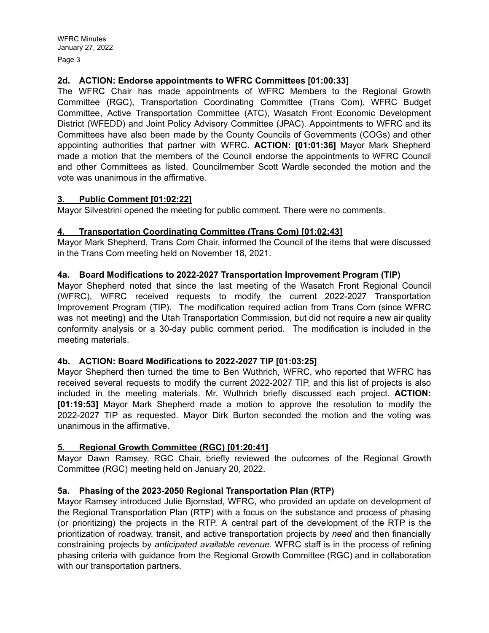Page 3

### **2d. ACTION: Endorse appointments to WFRC Committees [01:00:33]**

The WFRC Chair has made appointments of WFRC Members to the Regional Growth Committee (RGC), Transportation Coordinating Committee (Trans Com), WFRC Budget Committee, Active Transportation Committee (ATC), Wasatch Front Economic Development District (WFEDD) and Joint Policy Advisory Committee (JPAC). Appointments to WFRC and its Committees have also been made by the County Councils of Governments (COGs) and other appointing authorities that partner with WFRC. **ACTION: [01:01:36]** Mayor Mark Shepherd made a motion that the members of the Council endorse the appointments to WFRC Council and other Committees as listed. Councilmember Scott Wardle seconded the motion and the vote was unanimous in the affirmative.

### **3. Public Comment [01:02:22]**

Mayor Silvestrini opened the meeting for public comment. There were no comments.

## **4. Transportation Coordinating Committee (Trans Com) [01:02:43]**

Mayor Mark Shepherd, Trans Com Chair, informed the Council of the items that were discussed in the Trans Com meeting held on November 18, 2021.

## **4a. Board Modifications to 2022-2027 Transportation Improvement Program (TIP)**

Mayor Shepherd noted that since the last meeting of the Wasatch Front Regional Council (WFRC), WFRC received requests to modify the current 2022-2027 Transportation Improvement Program (TIP). The modification required action from Trans Com (since WFRC was not meeting) and the Utah Transportation Commission, but did not require a new air quality conformity analysis or a 30-day public comment period. The modification is included in the meeting materials.

### **4b. ACTION: Board Modifications to 2022-2027 TIP [01:03:25]**

Mayor Shepherd then turned the time to Ben Wuthrich, WFRC, who reported that WFRC has received several requests to modify the current 2022-2027 TIP, and this list of projects is also included in the meeting materials. Mr. Wuthrich briefly discussed each project. **ACTION: [01:19:53]** Mayor Mark Shepherd made a motion to approve the resolution to modify the 2022-2027 TIP as requested. Mayor Dirk Burton seconded the motion and the voting was unanimous in the affirmative.

# **5. Regional Growth Committee (RGC) [01:20:41]**

Mayor Dawn Ramsey, RGC Chair, briefly reviewed the outcomes of the Regional Growth Committee (RGC) meeting held on January 20, 2022.

# **5a. Phasing of the 2023-2050 Regional Transportation Plan (RTP)**

Mayor Ramsey introduced Julie Bjornstad, WFRC, who provided an update on development of the Regional Transportation Plan (RTP) with a focus on the substance and process of phasing (or prioritizing) the projects in the RTP. A central part of the development of the RTP is the prioritization of roadway, transit, and active transportation projects by *need* and then financially constraining projects by *anticipated available revenue*. WFRC staff is in the process of refining phasing criteria with guidance from the Regional Growth Committee (RGC) and in collaboration with our transportation partners.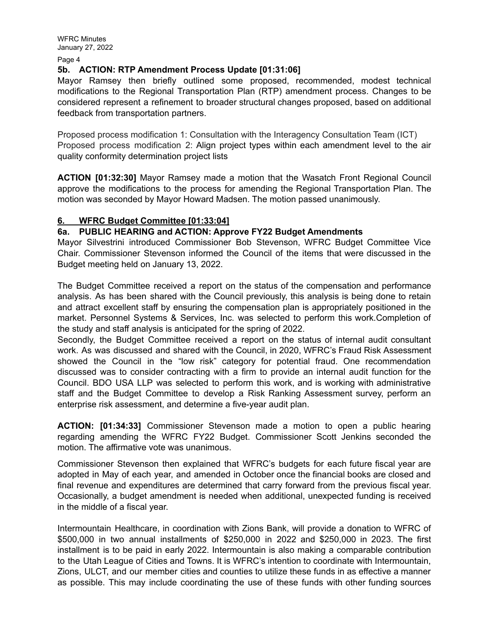WFRC Minutes January 27, 2022

Page 4

#### **5b. ACTION: RTP Amendment Process Update [01:31:06]**

Mayor Ramsey then briefly outlined some proposed, recommended, modest technical modifications to the Regional Transportation Plan (RTP) amendment process. Changes to be considered represent a refinement to broader structural changes proposed, based on additional feedback from transportation partners.

Proposed process modification 1: Consultation with the Interagency Consultation Team (ICT) Proposed process modification 2: Align project types within each amendment level to the air quality conformity determination project lists

**ACTION [01:32:30]** Mayor Ramsey made a motion that the Wasatch Front Regional Council approve the modifications to the process for amending the Regional Transportation Plan. The motion was seconded by Mayor Howard Madsen. The motion passed unanimously.

#### **6. WFRC Budget Committee [01:33:04]**

#### **6a. PUBLIC HEARING and ACTION: Approve FY22 Budget Amendments**

Mayor Silvestrini introduced Commissioner Bob Stevenson, WFRC Budget Committee Vice Chair. Commissioner Stevenson informed the Council of the items that were discussed in the Budget meeting held on January 13, 2022.

The Budget Committee received a report on the status of the compensation and performance analysis. As has been shared with the Council previously, this analysis is being done to retain and attract excellent staff by ensuring the compensation plan is appropriately positioned in the market. Personnel Systems & Services, Inc. was selected to perform this work.Completion of the study and staff analysis is anticipated for the spring of 2022.

Secondly, the Budget Committee received a report on the status of internal audit consultant work. As was discussed and shared with the Council, in 2020, WFRC's Fraud Risk Assessment showed the Council in the "low risk" category for potential fraud. One recommendation discussed was to consider contracting with a firm to provide an internal audit function for the Council. BDO USA LLP was selected to perform this work, and is working with administrative staff and the Budget Committee to develop a Risk Ranking Assessment survey, perform an enterprise risk assessment, and determine a five-year audit plan.

**ACTION: [01:34:33]** Commissioner Stevenson made a motion to open a public hearing regarding amending the WFRC FY22 Budget. Commissioner Scott Jenkins seconded the motion. The affirmative vote was unanimous.

Commissioner Stevenson then explained that WFRC's budgets for each future fiscal year are adopted in May of each year, and amended in October once the financial books are closed and final revenue and expenditures are determined that carry forward from the previous fiscal year. Occasionally, a budget amendment is needed when additional, unexpected funding is received in the middle of a fiscal year.

Intermountain Healthcare, in coordination with Zions Bank, will provide a donation to WFRC of \$500,000 in two annual installments of \$250,000 in 2022 and \$250,000 in 2023. The first installment is to be paid in early 2022. Intermountain is also making a comparable contribution to the Utah League of Cities and Towns. It is WFRC's intention to coordinate with Intermountain, Zions, ULCT, and our member cities and counties to utilize these funds in as effective a manner as possible. This may include coordinating the use of these funds with other funding sources